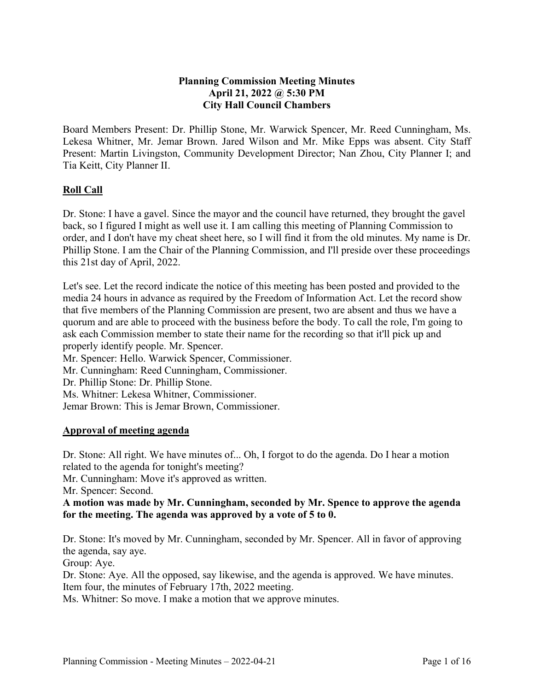# **Planning Commission Meeting Minutes April 21, 2022 @ 5:30 PM City Hall Council Chambers**

Board Members Present: Dr. Phillip Stone, Mr. Warwick Spencer, Mr. Reed Cunningham, Ms. Lekesa Whitner, Mr. Jemar Brown. Jared Wilson and Mr. Mike Epps was absent. City Staff Present: Martin Livingston, Community Development Director; Nan Zhou, City Planner I; and Tia Keitt, City Planner II.

# **Roll Call**

Dr. Stone: I have a gavel. Since the mayor and the council have returned, they brought the gavel back, so I figured I might as well use it. I am calling this meeting of Planning Commission to order, and I don't have my cheat sheet here, so I will find it from the old minutes. My name is Dr. Phillip Stone. I am the Chair of the Planning Commission, and I'll preside over these proceedings this 21st day of April, 2022.

Let's see. Let the record indicate the notice of this meeting has been posted and provided to the media 24 hours in advance as required by the Freedom of Information Act. Let the record show that five members of the Planning Commission are present, two are absent and thus we have a quorum and are able to proceed with the business before the body. To call the role, I'm going to ask each Commission member to state their name for the recording so that it'll pick up and properly identify people. Mr. Spencer.

Mr. Spencer: Hello. Warwick Spencer, Commissioner. Mr. Cunningham: Reed Cunningham, Commissioner. Dr. Phillip Stone: Dr. Phillip Stone. Ms. Whitner: Lekesa Whitner, Commissioner. Jemar Brown: This is Jemar Brown, Commissioner.

# **Approval of meeting agenda**

Dr. Stone: All right. We have minutes of... Oh, I forgot to do the agenda. Do I hear a motion related to the agenda for tonight's meeting?

Mr. Cunningham: Move it's approved as written.

Mr. Spencer: Second.

**A motion was made by Mr. Cunningham, seconded by Mr. Spence to approve the agenda for the meeting. The agenda was approved by a vote of 5 to 0.** 

Dr. Stone: It's moved by Mr. Cunningham, seconded by Mr. Spencer. All in favor of approving the agenda, say aye.

Group: Aye.

Dr. Stone: Aye. All the opposed, say likewise, and the agenda is approved. We have minutes. Item four, the minutes of February 17th, 2022 meeting.

Ms. Whitner: So move. I make a motion that we approve minutes.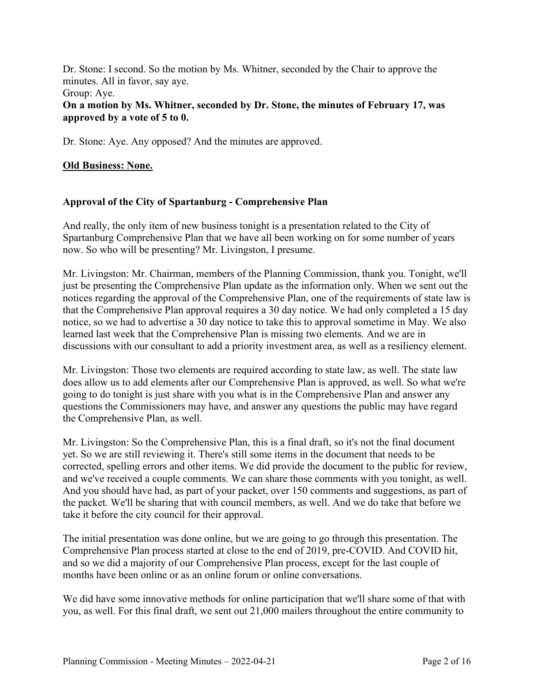Dr. Stone: I second. So the motion by Ms. Whitner, seconded by the Chair to approve the minutes. All in favor, say aye.

#### Group: Aye.

### **On a motion by Ms. Whitner, seconded by Dr. Stone, the minutes of February 17, was approved by a vote of 5 to 0.**

Dr. Stone: Aye. Any opposed? And the minutes are approved.

## **Old Business: None.**

# **Approval of the City of Spartanburg - Comprehensive Plan**

And really, the only item of new business tonight is a presentation related to the City of Spartanburg Comprehensive Plan that we have all been working on for some number of years now. So who will be presenting? Mr. Livingston, I presume.

Mr. Livingston: Mr. Chairman, members of the Planning Commission, thank you. Tonight, we'll just be presenting the Comprehensive Plan update as the information only. When we sent out the notices regarding the approval of the Comprehensive Plan, one of the requirements of state law is that the Comprehensive Plan approval requires a 30 day notice. We had only completed a 15 day notice, so we had to advertise a 30 day notice to take this to approval sometime in May. We also learned last week that the Comprehensive Plan is missing two elements. And we are in discussions with our consultant to add a priority investment area, as well as a resiliency element.

Mr. Livingston: Those two elements are required according to state law, as well. The state law does allow us to add elements after our Comprehensive Plan is approved, as well. So what we're going to do tonight is just share with you what is in the Comprehensive Plan and answer any questions the Commissioners may have, and answer any questions the public may have regard the Comprehensive Plan, as well.

Mr. Livingston: So the Comprehensive Plan, this is a final draft, so it's not the final document yet. So we are still reviewing it. There's still some items in the document that needs to be corrected, spelling errors and other items. We did provide the document to the public for review, and we've received a couple comments. We can share those comments with you tonight, as well. And you should have had, as part of your packet, over 150 comments and suggestions, as part of the packet. We'll be sharing that with council members, as well. And we do take that before we take it before the city council for their approval.

The initial presentation was done online, but we are going to go through this presentation. The Comprehensive Plan process started at close to the end of 2019, pre-COVID. And COVID hit, and so we did a majority of our Comprehensive Plan process, except for the last couple of months have been online or as an online forum or online conversations.

We did have some innovative methods for online participation that we'll share some of that with you, as well. For this final draft, we sent out 21,000 mailers throughout the entire community to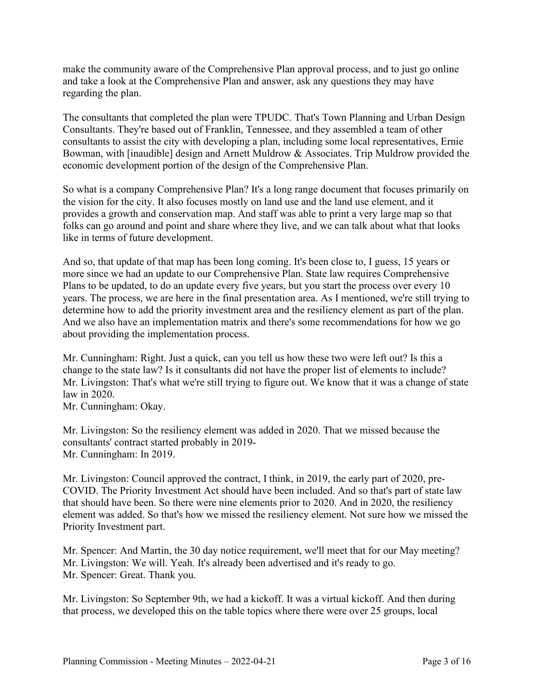make the community aware of the Comprehensive Plan approval process, and to just go online and take a look at the Comprehensive Plan and answer, ask any questions they may have regarding the plan.

The consultants that completed the plan were TPUDC. That's Town Planning and Urban Design Consultants. They're based out of Franklin, Tennessee, and they assembled a team of other consultants to assist the city with developing a plan, including some local representatives, Ernie Bowman, with [inaudible] design and Arnett Muldrow & Associates. Trip Muldrow provided the economic development portion of the design of the Comprehensive Plan.

So what is a company Comprehensive Plan? It's a long range document that focuses primarily on the vision for the city. It also focuses mostly on land use and the land use element, and it provides a growth and conservation map. And staff was able to print a very large map so that folks can go around and point and share where they live, and we can talk about what that looks like in terms of future development.

And so, that update of that map has been long coming. It's been close to, I guess, 15 years or more since we had an update to our Comprehensive Plan. State law requires Comprehensive Plans to be updated, to do an update every five years, but you start the process over every 10 years. The process, we are here in the final presentation area. As I mentioned, we're still trying to determine how to add the priority investment area and the resiliency element as part of the plan. And we also have an implementation matrix and there's some recommendations for how we go about providing the implementation process.

Mr. Cunningham: Right. Just a quick, can you tell us how these two were left out? Is this a change to the state law? Is it consultants did not have the proper list of elements to include? Mr. Livingston: That's what we're still trying to figure out. We know that it was a change of state law in 2020.

Mr. Cunningham: Okay.

Mr. Livingston: So the resiliency element was added in 2020. That we missed because the consultants' contract started probably in 2019- Mr. Cunningham: In 2019.

Mr. Livingston: Council approved the contract, I think, in 2019, the early part of 2020, pre-COVID. The Priority Investment Act should have been included. And so that's part of state law that should have been. So there were nine elements prior to 2020. And in 2020, the resiliency element was added. So that's how we missed the resiliency element. Not sure how we missed the Priority Investment part.

Mr. Spencer: And Martin, the 30 day notice requirement, we'll meet that for our May meeting? Mr. Livingston: We will. Yeah. It's already been advertised and it's ready to go. Mr. Spencer: Great. Thank you.

Mr. Livingston: So September 9th, we had a kickoff. It was a virtual kickoff. And then during that process, we developed this on the table topics where there were over 25 groups, local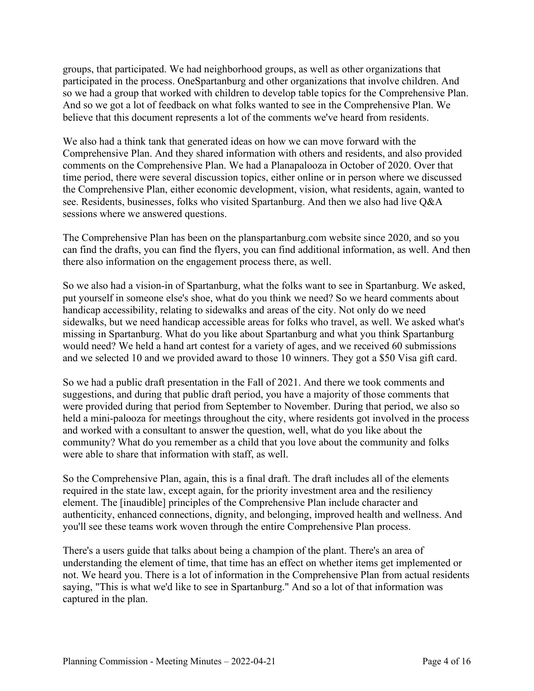groups, that participated. We had neighborhood groups, as well as other organizations that participated in the process. OneSpartanburg and other organizations that involve children. And so we had a group that worked with children to develop table topics for the Comprehensive Plan. And so we got a lot of feedback on what folks wanted to see in the Comprehensive Plan. We believe that this document represents a lot of the comments we've heard from residents.

We also had a think tank that generated ideas on how we can move forward with the Comprehensive Plan. And they shared information with others and residents, and also provided comments on the Comprehensive Plan. We had a Planapalooza in October of 2020. Over that time period, there were several discussion topics, either online or in person where we discussed the Comprehensive Plan, either economic development, vision, what residents, again, wanted to see. Residents, businesses, folks who visited Spartanburg. And then we also had live Q&A sessions where we answered questions.

The Comprehensive Plan has been on the planspartanburg.com website since 2020, and so you can find the drafts, you can find the flyers, you can find additional information, as well. And then there also information on the engagement process there, as well.

So we also had a vision-in of Spartanburg, what the folks want to see in Spartanburg. We asked, put yourself in someone else's shoe, what do you think we need? So we heard comments about handicap accessibility, relating to sidewalks and areas of the city. Not only do we need sidewalks, but we need handicap accessible areas for folks who travel, as well. We asked what's missing in Spartanburg. What do you like about Spartanburg and what you think Spartanburg would need? We held a hand art contest for a variety of ages, and we received 60 submissions and we selected 10 and we provided award to those 10 winners. They got a \$50 Visa gift card.

So we had a public draft presentation in the Fall of 2021. And there we took comments and suggestions, and during that public draft period, you have a majority of those comments that were provided during that period from September to November. During that period, we also so held a mini-palooza for meetings throughout the city, where residents got involved in the process and worked with a consultant to answer the question, well, what do you like about the community? What do you remember as a child that you love about the community and folks were able to share that information with staff, as well.

So the Comprehensive Plan, again, this is a final draft. The draft includes all of the elements required in the state law, except again, for the priority investment area and the resiliency element. The [inaudible] principles of the Comprehensive Plan include character and authenticity, enhanced connections, dignity, and belonging, improved health and wellness. And you'll see these teams work woven through the entire Comprehensive Plan process.

There's a users guide that talks about being a champion of the plant. There's an area of understanding the element of time, that time has an effect on whether items get implemented or not. We heard you. There is a lot of information in the Comprehensive Plan from actual residents saying, "This is what we'd like to see in Spartanburg." And so a lot of that information was captured in the plan.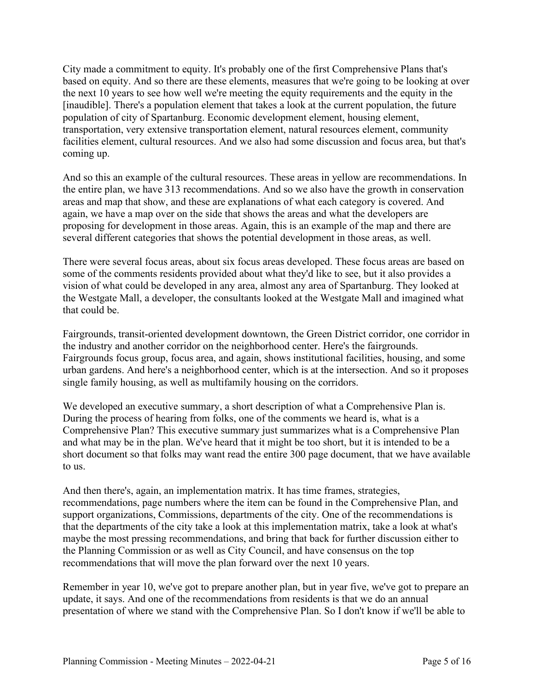City made a commitment to equity. It's probably one of the first Comprehensive Plans that's based on equity. And so there are these elements, measures that we're going to be looking at over the next 10 years to see how well we're meeting the equity requirements and the equity in the [inaudible]. There's a population element that takes a look at the current population, the future population of city of Spartanburg. Economic development element, housing element, transportation, very extensive transportation element, natural resources element, community facilities element, cultural resources. And we also had some discussion and focus area, but that's coming up.

And so this an example of the cultural resources. These areas in yellow are recommendations. In the entire plan, we have 313 recommendations. And so we also have the growth in conservation areas and map that show, and these are explanations of what each category is covered. And again, we have a map over on the side that shows the areas and what the developers are proposing for development in those areas. Again, this is an example of the map and there are several different categories that shows the potential development in those areas, as well.

There were several focus areas, about six focus areas developed. These focus areas are based on some of the comments residents provided about what they'd like to see, but it also provides a vision of what could be developed in any area, almost any area of Spartanburg. They looked at the Westgate Mall, a developer, the consultants looked at the Westgate Mall and imagined what that could be.

Fairgrounds, transit-oriented development downtown, the Green District corridor, one corridor in the industry and another corridor on the neighborhood center. Here's the fairgrounds. Fairgrounds focus group, focus area, and again, shows institutional facilities, housing, and some urban gardens. And here's a neighborhood center, which is at the intersection. And so it proposes single family housing, as well as multifamily housing on the corridors.

We developed an executive summary, a short description of what a Comprehensive Plan is. During the process of hearing from folks, one of the comments we heard is, what is a Comprehensive Plan? This executive summary just summarizes what is a Comprehensive Plan and what may be in the plan. We've heard that it might be too short, but it is intended to be a short document so that folks may want read the entire 300 page document, that we have available to us.

And then there's, again, an implementation matrix. It has time frames, strategies, recommendations, page numbers where the item can be found in the Comprehensive Plan, and support organizations, Commissions, departments of the city. One of the recommendations is that the departments of the city take a look at this implementation matrix, take a look at what's maybe the most pressing recommendations, and bring that back for further discussion either to the Planning Commission or as well as City Council, and have consensus on the top recommendations that will move the plan forward over the next 10 years.

Remember in year 10, we've got to prepare another plan, but in year five, we've got to prepare an update, it says. And one of the recommendations from residents is that we do an annual presentation of where we stand with the Comprehensive Plan. So I don't know if we'll be able to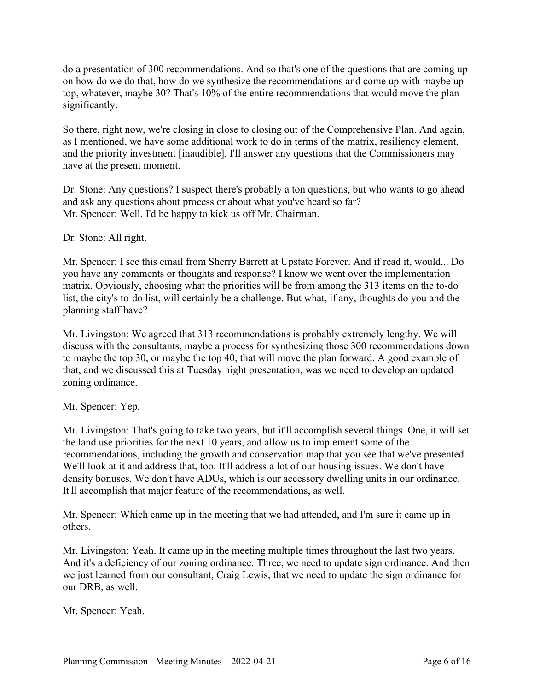do a presentation of 300 recommendations. And so that's one of the questions that are coming up on how do we do that, how do we synthesize the recommendations and come up with maybe up top, whatever, maybe 30? That's 10% of the entire recommendations that would move the plan significantly.

So there, right now, we're closing in close to closing out of the Comprehensive Plan. And again, as I mentioned, we have some additional work to do in terms of the matrix, resiliency element, and the priority investment [inaudible]. I'll answer any questions that the Commissioners may have at the present moment.

Dr. Stone: Any questions? I suspect there's probably a ton questions, but who wants to go ahead and ask any questions about process or about what you've heard so far? Mr. Spencer: Well, I'd be happy to kick us off Mr. Chairman.

Dr. Stone: All right.

Mr. Spencer: I see this email from Sherry Barrett at Upstate Forever. And if read it, would... Do you have any comments or thoughts and response? I know we went over the implementation matrix. Obviously, choosing what the priorities will be from among the 313 items on the to-do list, the city's to-do list, will certainly be a challenge. But what, if any, thoughts do you and the planning staff have?

Mr. Livingston: We agreed that 313 recommendations is probably extremely lengthy. We will discuss with the consultants, maybe a process for synthesizing those 300 recommendations down to maybe the top 30, or maybe the top 40, that will move the plan forward. A good example of that, and we discussed this at Tuesday night presentation, was we need to develop an updated zoning ordinance.

Mr. Spencer: Yep.

Mr. Livingston: That's going to take two years, but it'll accomplish several things. One, it will set the land use priorities for the next 10 years, and allow us to implement some of the recommendations, including the growth and conservation map that you see that we've presented. We'll look at it and address that, too. It'll address a lot of our housing issues. We don't have density bonuses. We don't have ADUs, which is our accessory dwelling units in our ordinance. It'll accomplish that major feature of the recommendations, as well.

Mr. Spencer: Which came up in the meeting that we had attended, and I'm sure it came up in others.

Mr. Livingston: Yeah. It came up in the meeting multiple times throughout the last two years. And it's a deficiency of our zoning ordinance. Three, we need to update sign ordinance. And then we just learned from our consultant, Craig Lewis, that we need to update the sign ordinance for our DRB, as well.

Mr. Spencer: Yeah.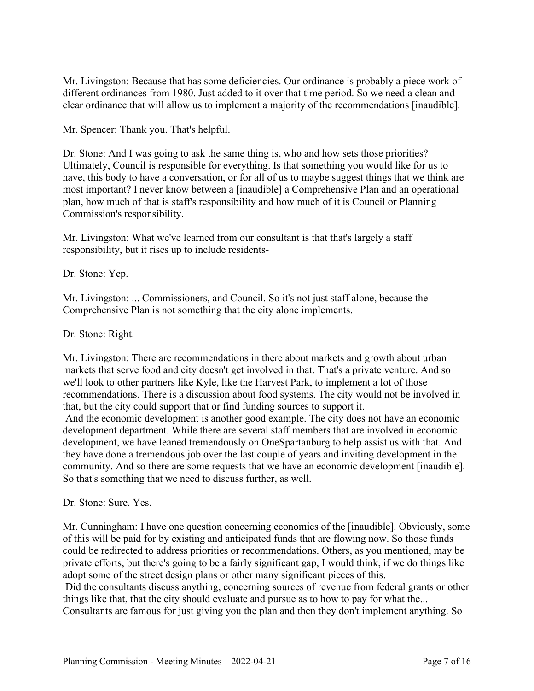Mr. Livingston: Because that has some deficiencies. Our ordinance is probably a piece work of different ordinances from 1980. Just added to it over that time period. So we need a clean and clear ordinance that will allow us to implement a majority of the recommendations [inaudible].

Mr. Spencer: Thank you. That's helpful.

Dr. Stone: And I was going to ask the same thing is, who and how sets those priorities? Ultimately, Council is responsible for everything. Is that something you would like for us to have, this body to have a conversation, or for all of us to maybe suggest things that we think are most important? I never know between a [inaudible] a Comprehensive Plan and an operational plan, how much of that is staff's responsibility and how much of it is Council or Planning Commission's responsibility.

Mr. Livingston: What we've learned from our consultant is that that's largely a staff responsibility, but it rises up to include residents-

Dr. Stone: Yep.

Mr. Livingston: ... Commissioners, and Council. So it's not just staff alone, because the Comprehensive Plan is not something that the city alone implements.

Dr. Stone: Right.

Mr. Livingston: There are recommendations in there about markets and growth about urban markets that serve food and city doesn't get involved in that. That's a private venture. And so we'll look to other partners like Kyle, like the Harvest Park, to implement a lot of those recommendations. There is a discussion about food systems. The city would not be involved in that, but the city could support that or find funding sources to support it.

And the economic development is another good example. The city does not have an economic development department. While there are several staff members that are involved in economic development, we have leaned tremendously on OneSpartanburg to help assist us with that. And they have done a tremendous job over the last couple of years and inviting development in the community. And so there are some requests that we have an economic development [inaudible]. So that's something that we need to discuss further, as well.

Dr. Stone: Sure. Yes.

Mr. Cunningham: I have one question concerning economics of the [inaudible]. Obviously, some of this will be paid for by existing and anticipated funds that are flowing now. So those funds could be redirected to address priorities or recommendations. Others, as you mentioned, may be private efforts, but there's going to be a fairly significant gap, I would think, if we do things like adopt some of the street design plans or other many significant pieces of this.

Did the consultants discuss anything, concerning sources of revenue from federal grants or other things like that, that the city should evaluate and pursue as to how to pay for what the...

Consultants are famous for just giving you the plan and then they don't implement anything. So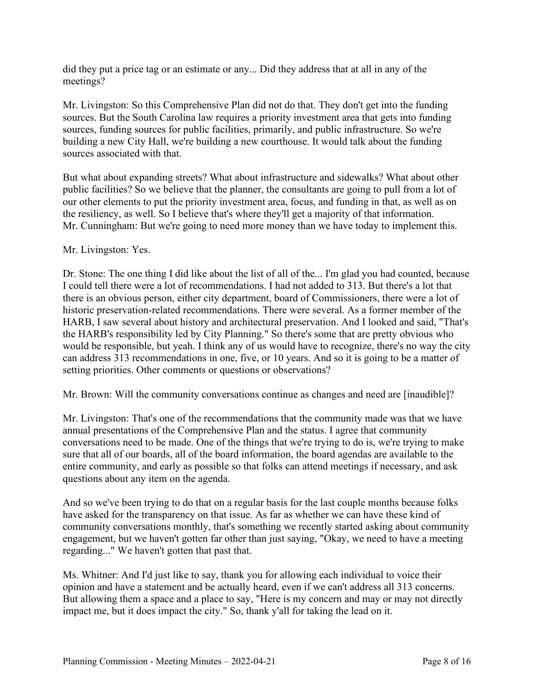did they put a price tag or an estimate or any... Did they address that at all in any of the meetings?

Mr. Livingston: So this Comprehensive Plan did not do that. They don't get into the funding sources. But the South Carolina law requires a priority investment area that gets into funding sources, funding sources for public facilities, primarily, and public infrastructure. So we're building a new City Hall, we're building a new courthouse. It would talk about the funding sources associated with that.

But what about expanding streets? What about infrastructure and sidewalks? What about other public facilities? So we believe that the planner, the consultants are going to pull from a lot of our other elements to put the priority investment area, focus, and funding in that, as well as on the resiliency, as well. So I believe that's where they'll get a majority of that information. Mr. Cunningham: But we're going to need more money than we have today to implement this.

### Mr. Livingston: Yes.

Dr. Stone: The one thing I did like about the list of all of the... I'm glad you had counted, because I could tell there were a lot of recommendations. I had not added to 313. But there's a lot that there is an obvious person, either city department, board of Commissioners, there were a lot of historic preservation-related recommendations. There were several. As a former member of the HARB, I saw several about history and architectural preservation. And I looked and said, "That's the HARB's responsibility led by City Planning." So there's some that are pretty obvious who would be responsible, but yeah. I think any of us would have to recognize, there's no way the city can address 313 recommendations in one, five, or 10 years. And so it is going to be a matter of setting priorities. Other comments or questions or observations?

Mr. Brown: Will the community conversations continue as changes and need are [inaudible]?

Mr. Livingston: That's one of the recommendations that the community made was that we have annual presentations of the Comprehensive Plan and the status. I agree that community conversations need to be made. One of the things that we're trying to do is, we're trying to make sure that all of our boards, all of the board information, the board agendas are available to the entire community, and early as possible so that folks can attend meetings if necessary, and ask questions about any item on the agenda.

And so we've been trying to do that on a regular basis for the last couple months because folks have asked for the transparency on that issue. As far as whether we can have these kind of community conversations monthly, that's something we recently started asking about community engagement, but we haven't gotten far other than just saying, "Okay, we need to have a meeting regarding..." We haven't gotten that past that.

Ms. Whitner: And I'd just like to say, thank you for allowing each individual to voice their opinion and have a statement and be actually heard, even if we can't address all 313 concerns. But allowing them a space and a place to say, "Here is my concern and may or may not directly impact me, but it does impact the city." So, thank y'all for taking the lead on it.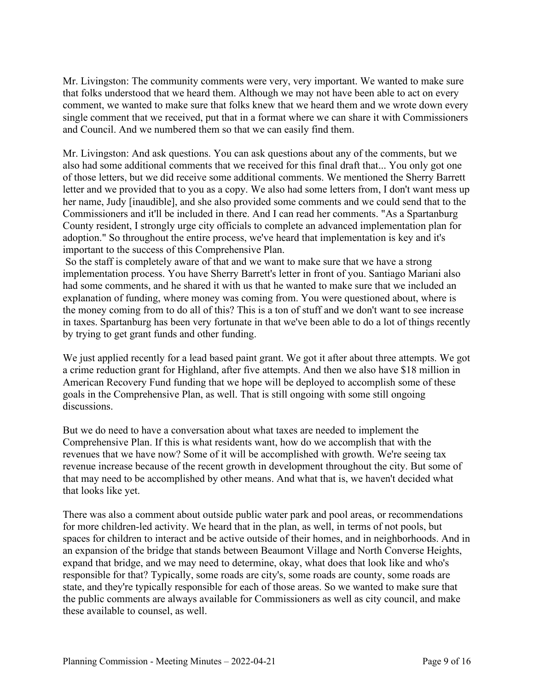Mr. Livingston: The community comments were very, very important. We wanted to make sure that folks understood that we heard them. Although we may not have been able to act on every comment, we wanted to make sure that folks knew that we heard them and we wrote down every single comment that we received, put that in a format where we can share it with Commissioners and Council. And we numbered them so that we can easily find them.

Mr. Livingston: And ask questions. You can ask questions about any of the comments, but we also had some additional comments that we received for this final draft that... You only got one of those letters, but we did receive some additional comments. We mentioned the Sherry Barrett letter and we provided that to you as a copy. We also had some letters from, I don't want mess up her name, Judy [inaudible], and she also provided some comments and we could send that to the Commissioners and it'll be included in there. And I can read her comments. "As a Spartanburg County resident, I strongly urge city officials to complete an advanced implementation plan for adoption." So throughout the entire process, we've heard that implementation is key and it's important to the success of this Comprehensive Plan.

So the staff is completely aware of that and we want to make sure that we have a strong implementation process. You have Sherry Barrett's letter in front of you. Santiago Mariani also had some comments, and he shared it with us that he wanted to make sure that we included an explanation of funding, where money was coming from. You were questioned about, where is the money coming from to do all of this? This is a ton of stuff and we don't want to see increase in taxes. Spartanburg has been very fortunate in that we've been able to do a lot of things recently by trying to get grant funds and other funding.

We just applied recently for a lead based paint grant. We got it after about three attempts. We got a crime reduction grant for Highland, after five attempts. And then we also have \$18 million in American Recovery Fund funding that we hope will be deployed to accomplish some of these goals in the Comprehensive Plan, as well. That is still ongoing with some still ongoing discussions.

But we do need to have a conversation about what taxes are needed to implement the Comprehensive Plan. If this is what residents want, how do we accomplish that with the revenues that we have now? Some of it will be accomplished with growth. We're seeing tax revenue increase because of the recent growth in development throughout the city. But some of that may need to be accomplished by other means. And what that is, we haven't decided what that looks like yet.

There was also a comment about outside public water park and pool areas, or recommendations for more children-led activity. We heard that in the plan, as well, in terms of not pools, but spaces for children to interact and be active outside of their homes, and in neighborhoods. And in an expansion of the bridge that stands between Beaumont Village and North Converse Heights, expand that bridge, and we may need to determine, okay, what does that look like and who's responsible for that? Typically, some roads are city's, some roads are county, some roads are state, and they're typically responsible for each of those areas. So we wanted to make sure that the public comments are always available for Commissioners as well as city council, and make these available to counsel, as well.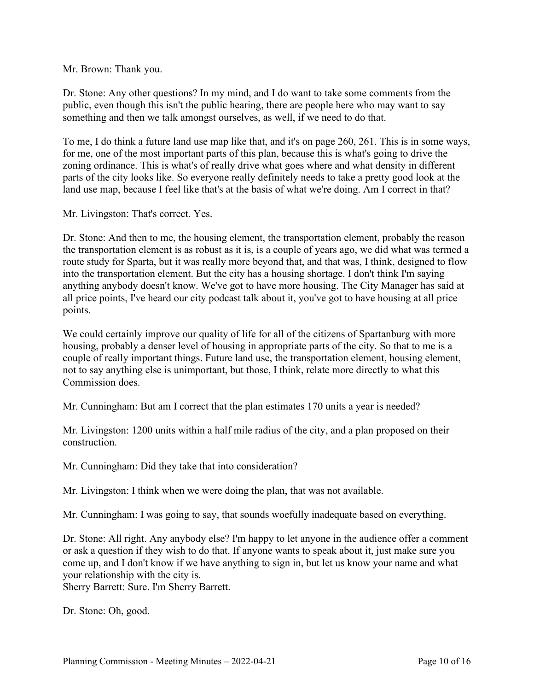Mr. Brown: Thank you.

Dr. Stone: Any other questions? In my mind, and I do want to take some comments from the public, even though this isn't the public hearing, there are people here who may want to say something and then we talk amongst ourselves, as well, if we need to do that.

To me, I do think a future land use map like that, and it's on page 260, 261. This is in some ways, for me, one of the most important parts of this plan, because this is what's going to drive the zoning ordinance. This is what's of really drive what goes where and what density in different parts of the city looks like. So everyone really definitely needs to take a pretty good look at the land use map, because I feel like that's at the basis of what we're doing. Am I correct in that?

Mr. Livingston: That's correct. Yes.

Dr. Stone: And then to me, the housing element, the transportation element, probably the reason the transportation element is as robust as it is, is a couple of years ago, we did what was termed a route study for Sparta, but it was really more beyond that, and that was, I think, designed to flow into the transportation element. But the city has a housing shortage. I don't think I'm saying anything anybody doesn't know. We've got to have more housing. The City Manager has said at all price points, I've heard our city podcast talk about it, you've got to have housing at all price points.

We could certainly improve our quality of life for all of the citizens of Spartanburg with more housing, probably a denser level of housing in appropriate parts of the city. So that to me is a couple of really important things. Future land use, the transportation element, housing element, not to say anything else is unimportant, but those, I think, relate more directly to what this Commission does.

Mr. Cunningham: But am I correct that the plan estimates 170 units a year is needed?

Mr. Livingston: 1200 units within a half mile radius of the city, and a plan proposed on their construction.

Mr. Cunningham: Did they take that into consideration?

Mr. Livingston: I think when we were doing the plan, that was not available.

Mr. Cunningham: I was going to say, that sounds woefully inadequate based on everything.

Dr. Stone: All right. Any anybody else? I'm happy to let anyone in the audience offer a comment or ask a question if they wish to do that. If anyone wants to speak about it, just make sure you come up, and I don't know if we have anything to sign in, but let us know your name and what your relationship with the city is.

Sherry Barrett: Sure. I'm Sherry Barrett.

Dr. Stone: Oh, good.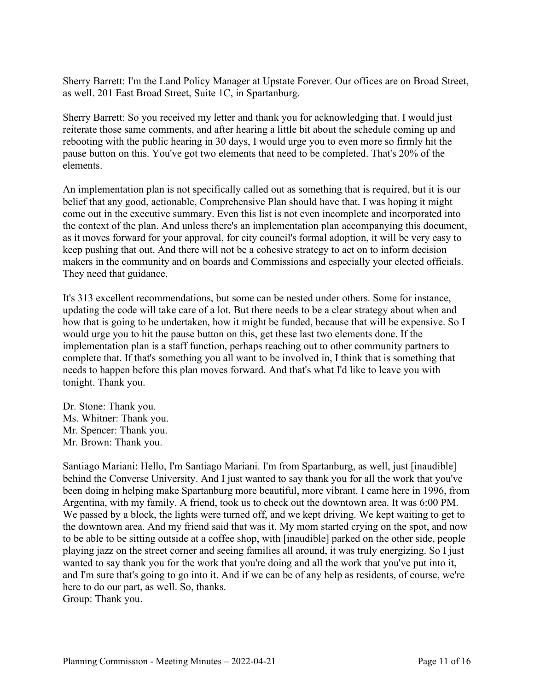Sherry Barrett: I'm the Land Policy Manager at Upstate Forever. Our offices are on Broad Street, as well. 201 East Broad Street, Suite 1C, in Spartanburg.

Sherry Barrett: So you received my letter and thank you for acknowledging that. I would just reiterate those same comments, and after hearing a little bit about the schedule coming up and rebooting with the public hearing in 30 days, I would urge you to even more so firmly hit the pause button on this. You've got two elements that need to be completed. That's 20% of the elements.

An implementation plan is not specifically called out as something that is required, but it is our belief that any good, actionable, Comprehensive Plan should have that. I was hoping it might come out in the executive summary. Even this list is not even incomplete and incorporated into the context of the plan. And unless there's an implementation plan accompanying this document, as it moves forward for your approval, for city council's formal adoption, it will be very easy to keep pushing that out. And there will not be a cohesive strategy to act on to inform decision makers in the community and on boards and Commissions and especially your elected officials. They need that guidance.

It's 313 excellent recommendations, but some can be nested under others. Some for instance, updating the code will take care of a lot. But there needs to be a clear strategy about when and how that is going to be undertaken, how it might be funded, because that will be expensive. So I would urge you to hit the pause button on this, get these last two elements done. If the implementation plan is a staff function, perhaps reaching out to other community partners to complete that. If that's something you all want to be involved in, I think that is something that needs to happen before this plan moves forward. And that's what I'd like to leave you with tonight. Thank you.

Dr. Stone: Thank you. Ms. Whitner: Thank you. Mr. Spencer: Thank you. Mr. Brown: Thank you.

Santiago Mariani: Hello, I'm Santiago Mariani. I'm from Spartanburg, as well, just [inaudible] behind the Converse University. And I just wanted to say thank you for all the work that you've been doing in helping make Spartanburg more beautiful, more vibrant. I came here in 1996, from Argentina, with my family. A friend, took us to check out the downtown area. It was 6:00 PM. We passed by a block, the lights were turned off, and we kept driving. We kept waiting to get to the downtown area. And my friend said that was it. My mom started crying on the spot, and now to be able to be sitting outside at a coffee shop, with [inaudible] parked on the other side, people playing jazz on the street corner and seeing families all around, it was truly energizing. So I just wanted to say thank you for the work that you're doing and all the work that you've put into it, and I'm sure that's going to go into it. And if we can be of any help as residents, of course, we're here to do our part, as well. So, thanks. Group: Thank you.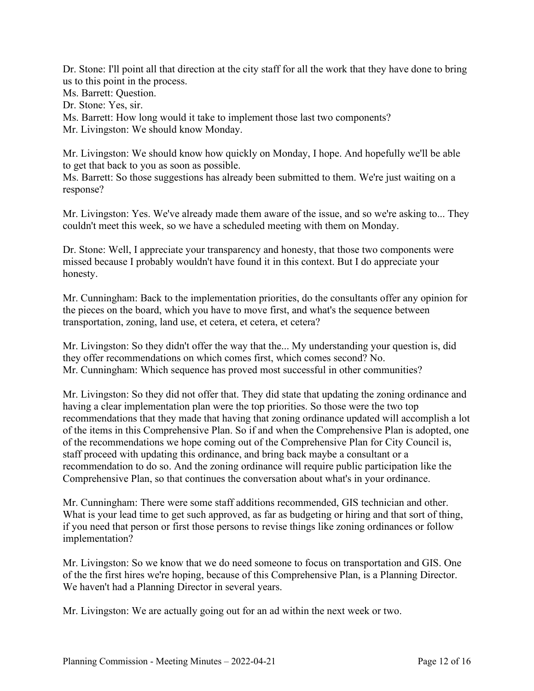Dr. Stone: I'll point all that direction at the city staff for all the work that they have done to bring us to this point in the process.

Ms. Barrett: Question.

Dr. Stone: Yes, sir.

Ms. Barrett: How long would it take to implement those last two components?

Mr. Livingston: We should know Monday.

Mr. Livingston: We should know how quickly on Monday, I hope. And hopefully we'll be able to get that back to you as soon as possible.

Ms. Barrett: So those suggestions has already been submitted to them. We're just waiting on a response?

Mr. Livingston: Yes. We've already made them aware of the issue, and so we're asking to... They couldn't meet this week, so we have a scheduled meeting with them on Monday.

Dr. Stone: Well, I appreciate your transparency and honesty, that those two components were missed because I probably wouldn't have found it in this context. But I do appreciate your honesty.

Mr. Cunningham: Back to the implementation priorities, do the consultants offer any opinion for the pieces on the board, which you have to move first, and what's the sequence between transportation, zoning, land use, et cetera, et cetera, et cetera?

Mr. Livingston: So they didn't offer the way that the... My understanding your question is, did they offer recommendations on which comes first, which comes second? No. Mr. Cunningham: Which sequence has proved most successful in other communities?

Mr. Livingston: So they did not offer that. They did state that updating the zoning ordinance and having a clear implementation plan were the top priorities. So those were the two top recommendations that they made that having that zoning ordinance updated will accomplish a lot of the items in this Comprehensive Plan. So if and when the Comprehensive Plan is adopted, one of the recommendations we hope coming out of the Comprehensive Plan for City Council is, staff proceed with updating this ordinance, and bring back maybe a consultant or a recommendation to do so. And the zoning ordinance will require public participation like the Comprehensive Plan, so that continues the conversation about what's in your ordinance.

Mr. Cunningham: There were some staff additions recommended, GIS technician and other. What is your lead time to get such approved, as far as budgeting or hiring and that sort of thing, if you need that person or first those persons to revise things like zoning ordinances or follow implementation?

Mr. Livingston: So we know that we do need someone to focus on transportation and GIS. One of the the first hires we're hoping, because of this Comprehensive Plan, is a Planning Director. We haven't had a Planning Director in several years.

Mr. Livingston: We are actually going out for an ad within the next week or two.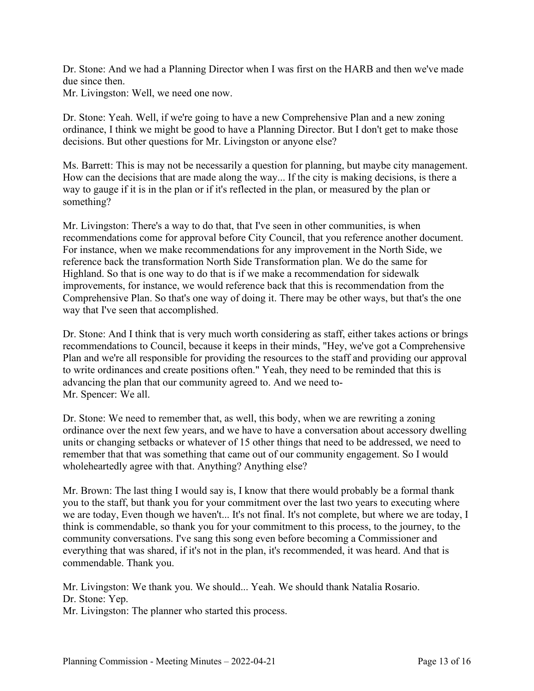Dr. Stone: And we had a Planning Director when I was first on the HARB and then we've made due since then.

Mr. Livingston: Well, we need one now.

Dr. Stone: Yeah. Well, if we're going to have a new Comprehensive Plan and a new zoning ordinance, I think we might be good to have a Planning Director. But I don't get to make those decisions. But other questions for Mr. Livingston or anyone else?

Ms. Barrett: This is may not be necessarily a question for planning, but maybe city management. How can the decisions that are made along the way... If the city is making decisions, is there a way to gauge if it is in the plan or if it's reflected in the plan, or measured by the plan or something?

Mr. Livingston: There's a way to do that, that I've seen in other communities, is when recommendations come for approval before City Council, that you reference another document. For instance, when we make recommendations for any improvement in the North Side, we reference back the transformation North Side Transformation plan. We do the same for Highland. So that is one way to do that is if we make a recommendation for sidewalk improvements, for instance, we would reference back that this is recommendation from the Comprehensive Plan. So that's one way of doing it. There may be other ways, but that's the one way that I've seen that accomplished.

Dr. Stone: And I think that is very much worth considering as staff, either takes actions or brings recommendations to Council, because it keeps in their minds, "Hey, we've got a Comprehensive Plan and we're all responsible for providing the resources to the staff and providing our approval to write ordinances and create positions often." Yeah, they need to be reminded that this is advancing the plan that our community agreed to. And we need to-Mr. Spencer: We all.

Dr. Stone: We need to remember that, as well, this body, when we are rewriting a zoning ordinance over the next few years, and we have to have a conversation about accessory dwelling units or changing setbacks or whatever of 15 other things that need to be addressed, we need to remember that that was something that came out of our community engagement. So I would wholeheartedly agree with that. Anything? Anything else?

Mr. Brown: The last thing I would say is, I know that there would probably be a formal thank you to the staff, but thank you for your commitment over the last two years to executing where we are today, Even though we haven't... It's not final. It's not complete, but where we are today, I think is commendable, so thank you for your commitment to this process, to the journey, to the community conversations. I've sang this song even before becoming a Commissioner and everything that was shared, if it's not in the plan, it's recommended, it was heard. And that is commendable. Thank you.

Mr. Livingston: We thank you. We should... Yeah. We should thank Natalia Rosario. Dr. Stone: Yep.

Mr. Livingston: The planner who started this process.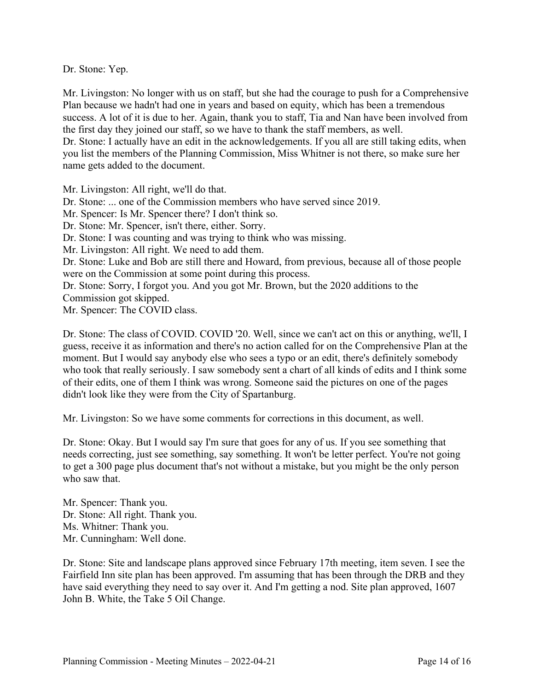Dr. Stone: Yep.

Mr. Livingston: No longer with us on staff, but she had the courage to push for a Comprehensive Plan because we hadn't had one in years and based on equity, which has been a tremendous success. A lot of it is due to her. Again, thank you to staff, Tia and Nan have been involved from the first day they joined our staff, so we have to thank the staff members, as well. Dr. Stone: I actually have an edit in the acknowledgements. If you all are still taking edits, when you list the members of the Planning Commission, Miss Whitner is not there, so make sure her name gets added to the document.

Mr. Livingston: All right, we'll do that.

Dr. Stone: ... one of the Commission members who have served since 2019.

Mr. Spencer: Is Mr. Spencer there? I don't think so.

Dr. Stone: Mr. Spencer, isn't there, either. Sorry.

Dr. Stone: I was counting and was trying to think who was missing.

Mr. Livingston: All right. We need to add them.

Dr. Stone: Luke and Bob are still there and Howard, from previous, because all of those people were on the Commission at some point during this process.

Dr. Stone: Sorry, I forgot you. And you got Mr. Brown, but the 2020 additions to the Commission got skipped.

Mr. Spencer: The COVID class.

Dr. Stone: The class of COVID. COVID '20. Well, since we can't act on this or anything, we'll, I guess, receive it as information and there's no action called for on the Comprehensive Plan at the moment. But I would say anybody else who sees a typo or an edit, there's definitely somebody who took that really seriously. I saw somebody sent a chart of all kinds of edits and I think some of their edits, one of them I think was wrong. Someone said the pictures on one of the pages didn't look like they were from the City of Spartanburg.

Mr. Livingston: So we have some comments for corrections in this document, as well.

Dr. Stone: Okay. But I would say I'm sure that goes for any of us. If you see something that needs correcting, just see something, say something. It won't be letter perfect. You're not going to get a 300 page plus document that's not without a mistake, but you might be the only person who saw that.

Mr. Spencer: Thank you. Dr. Stone: All right. Thank you. Ms. Whitner: Thank you. Mr. Cunningham: Well done.

Dr. Stone: Site and landscape plans approved since February 17th meeting, item seven. I see the Fairfield Inn site plan has been approved. I'm assuming that has been through the DRB and they have said everything they need to say over it. And I'm getting a nod. Site plan approved, 1607 John B. White, the Take 5 Oil Change.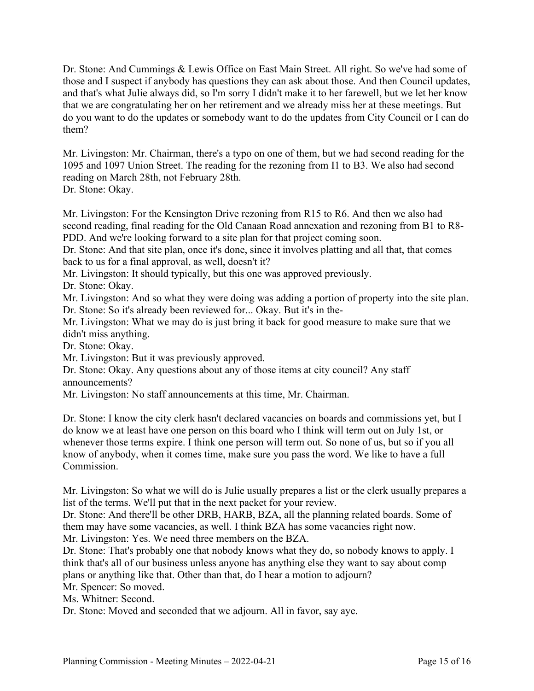Dr. Stone: And Cummings & Lewis Office on East Main Street. All right. So we've had some of those and I suspect if anybody has questions they can ask about those. And then Council updates, and that's what Julie always did, so I'm sorry I didn't make it to her farewell, but we let her know that we are congratulating her on her retirement and we already miss her at these meetings. But do you want to do the updates or somebody want to do the updates from City Council or I can do them?

Mr. Livingston: Mr. Chairman, there's a typo on one of them, but we had second reading for the 1095 and 1097 Union Street. The reading for the rezoning from I1 to B3. We also had second reading on March 28th, not February 28th. Dr. Stone: Okay.

Mr. Livingston: For the Kensington Drive rezoning from R15 to R6. And then we also had second reading, final reading for the Old Canaan Road annexation and rezoning from B1 to R8- PDD. And we're looking forward to a site plan for that project coming soon.

Dr. Stone: And that site plan, once it's done, since it involves platting and all that, that comes back to us for a final approval, as well, doesn't it?

Mr. Livingston: It should typically, but this one was approved previously.

Dr. Stone: Okay.

Mr. Livingston: And so what they were doing was adding a portion of property into the site plan. Dr. Stone: So it's already been reviewed for... Okay. But it's in the-

Mr. Livingston: What we may do is just bring it back for good measure to make sure that we didn't miss anything.

Dr. Stone: Okay.

Mr. Livingston: But it was previously approved.

Dr. Stone: Okay. Any questions about any of those items at city council? Any staff announcements?

Mr. Livingston: No staff announcements at this time, Mr. Chairman.

Dr. Stone: I know the city clerk hasn't declared vacancies on boards and commissions yet, but I do know we at least have one person on this board who I think will term out on July 1st, or whenever those terms expire. I think one person will term out. So none of us, but so if you all know of anybody, when it comes time, make sure you pass the word. We like to have a full Commission.

Mr. Livingston: So what we will do is Julie usually prepares a list or the clerk usually prepares a list of the terms. We'll put that in the next packet for your review.

Dr. Stone: And there'll be other DRB, HARB, BZA, all the planning related boards. Some of them may have some vacancies, as well. I think BZA has some vacancies right now.

Mr. Livingston: Yes. We need three members on the BZA.

Dr. Stone: That's probably one that nobody knows what they do, so nobody knows to apply. I think that's all of our business unless anyone has anything else they want to say about comp plans or anything like that. Other than that, do I hear a motion to adjourn?

Mr. Spencer: So moved.

Ms. Whitner: Second.

Dr. Stone: Moved and seconded that we adjourn. All in favor, say aye.